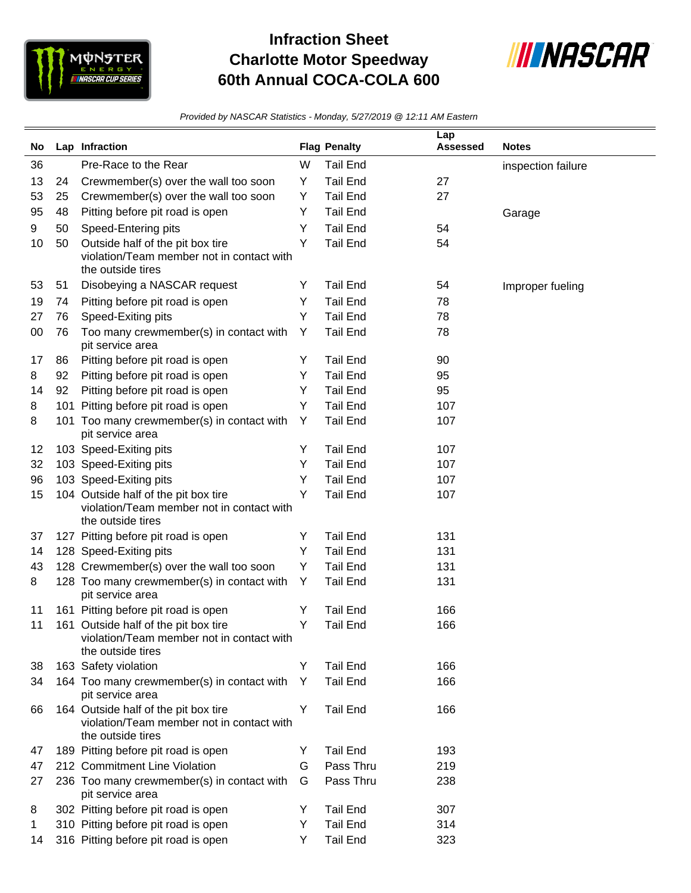

## **Infraction Sheet Charlotte Motor Speedway 60th Annual COCA-COLA 600**



*Provided by NASCAR Statistics - Monday, 5/27/2019 @ 12:11 AM Eastern*

| No |    | Lap Infraction                                                                                         |   | <b>Flag Penalty</b> | Lap<br><b>Assessed</b> | <b>Notes</b>       |
|----|----|--------------------------------------------------------------------------------------------------------|---|---------------------|------------------------|--------------------|
|    |    |                                                                                                        |   |                     |                        |                    |
| 36 |    | Pre-Race to the Rear                                                                                   | W | <b>Tail End</b>     |                        | inspection failure |
| 13 | 24 | Crewmember(s) over the wall too soon                                                                   | Y | <b>Tail End</b>     | 27                     |                    |
| 53 | 25 | Crewmember(s) over the wall too soon                                                                   | Y | <b>Tail End</b>     | 27                     |                    |
| 95 | 48 | Pitting before pit road is open                                                                        | Y | <b>Tail End</b>     |                        | Garage             |
| 9  | 50 | Speed-Entering pits                                                                                    | Y | <b>Tail End</b>     | 54                     |                    |
| 10 | 50 | Outside half of the pit box tire<br>violation/Team member not in contact with<br>the outside tires     | Y | <b>Tail End</b>     | 54                     |                    |
| 53 | 51 | Disobeying a NASCAR request                                                                            | Y | <b>Tail End</b>     | 54                     | Improper fueling   |
| 19 | 74 | Pitting before pit road is open                                                                        | Y | <b>Tail End</b>     | 78                     |                    |
| 27 | 76 | Speed-Exiting pits                                                                                     | Y | <b>Tail End</b>     | 78                     |                    |
| 00 | 76 | Too many crewmember(s) in contact with<br>pit service area                                             | Y | <b>Tail End</b>     | 78                     |                    |
| 17 | 86 | Pitting before pit road is open                                                                        | Y | <b>Tail End</b>     | 90                     |                    |
| 8  | 92 | Pitting before pit road is open                                                                        | Y | <b>Tail End</b>     | 95                     |                    |
| 14 | 92 | Pitting before pit road is open                                                                        | Y | <b>Tail End</b>     | 95                     |                    |
| 8  |    | 101 Pitting before pit road is open                                                                    | Y | <b>Tail End</b>     | 107                    |                    |
| 8  |    | 101 Too many crewmember(s) in contact with<br>pit service area                                         | Y | <b>Tail End</b>     | 107                    |                    |
| 12 |    | 103 Speed-Exiting pits                                                                                 | Y | <b>Tail End</b>     | 107                    |                    |
| 32 |    | 103 Speed-Exiting pits                                                                                 | Y | <b>Tail End</b>     | 107                    |                    |
| 96 |    | 103 Speed-Exiting pits                                                                                 | Y | <b>Tail End</b>     | 107                    |                    |
| 15 |    | 104 Outside half of the pit box tire<br>violation/Team member not in contact with<br>the outside tires | Y | <b>Tail End</b>     | 107                    |                    |
| 37 |    | 127 Pitting before pit road is open                                                                    | Y | <b>Tail End</b>     | 131                    |                    |
| 14 |    | 128 Speed-Exiting pits                                                                                 | Υ | <b>Tail End</b>     | 131                    |                    |
| 43 |    | 128 Crewmember(s) over the wall too soon                                                               | Y | <b>Tail End</b>     | 131                    |                    |
| 8  |    | 128 Too many crewmember(s) in contact with<br>pit service area                                         | Y | <b>Tail End</b>     | 131                    |                    |
| 11 |    | 161 Pitting before pit road is open                                                                    | Y | <b>Tail End</b>     | 166                    |                    |
| 11 |    | 161 Outside half of the pit box tire<br>violation/Team member not in contact with<br>the outside tires | Y | <b>Tail End</b>     | 166                    |                    |
| 38 |    | 163 Safety violation                                                                                   | Υ | <b>Tail End</b>     | 166                    |                    |
| 34 |    | 164 Too many crewmember(s) in contact with<br>pit service area                                         | Y | <b>Tail End</b>     | 166                    |                    |
| 66 |    | 164 Outside half of the pit box tire<br>violation/Team member not in contact with<br>the outside tires | Y | <b>Tail End</b>     | 166                    |                    |
| 47 |    | 189 Pitting before pit road is open                                                                    | Y | <b>Tail End</b>     | 193                    |                    |
| 47 |    | 212 Commitment Line Violation                                                                          | G | Pass Thru           | 219                    |                    |
| 27 |    | 236 Too many crewmember(s) in contact with<br>pit service area                                         | G | Pass Thru           | 238                    |                    |
| 8  |    | 302 Pitting before pit road is open                                                                    | Y | <b>Tail End</b>     | 307                    |                    |
| 1  |    | 310 Pitting before pit road is open                                                                    | Y | <b>Tail End</b>     | 314                    |                    |
| 14 |    | 316 Pitting before pit road is open                                                                    | Y | <b>Tail End</b>     | 323                    |                    |